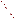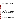# **Consumer Factsheet on: VINYL CHLORIDE**

[List of Drinking Water Contaminants](http://www.epa.gov/safewater/hfacts.html) 

 This fact sheet is part of a a collection of fact sheets for volatile organic chemicals with drinking water regulations, [to find out more about volatile organic chemicals see this list page](http://www.epa.gov/safewater/dwh/c-voc.html) 

This is a factsheet about a chemical that may be found in some public or private drinking water supplies.

# **What is Vinyl Chloride and how is it used?**

 Vinyl chloride is a colorless organic gas with a sweet odor. It is used in the manufacture of numerous paper, and glass industries. products in building and construction, automotive industry, electrical wire insulation and cables, piping, industrial and household equipment, medical supplies, and is depended upon heavily by the rubber,

paper, and glass industries.<br>The list of trade names given below may help you find out whether you are using this chemical at home or work.

# **Trade Names and Synonyms:**

 Trovidur **Chlorethene Chlorethylene** Monochloroethene Monovinyl chloride (MVC)

# **Why is Vinyl Chloride being Regulated?**

In 1974, Congress passed the Safe Drinking Water Act. This law requires EPA to determine safe levels of chemicals in drinking water which may not cause health problems. These non-enforceable levels, based solely on possible health risks and exposure, are called Maximum Contaminant Level Goals.

The MCLG for vinyl chloride has been set at zero because EPA believes this level of protection would not cause any of the potential health problems described below.

 Based on this MCLG, EPA has set an enforceable standard called a Maximum Contaminant Level (MCL). MCLs are set as close to the MCLGs as possible, considering the ability of public water systems to detect and remove contaminants using suitable treatment technologies.

 contaminant should it occur in drinking water. The MCL has been set at 2 parts per billion (ppb) because EPA believes, given present technology and resources, this is the lowest level to which water systems can reasonably be required to remove this

These drinking water standards and the regulations for ensuring these standards are met, are called National Primary Drinking Water Regulations. All public water supplies must abide by these regulations.

# **What are the Health Effects?**

 exposed to it at high levels (40 - 900 mg/L) for relatively short periods of time: damage to the nervous Short-term: EPA has found vinyl chloride to potentially cause the following health effects when people are system.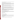Long-term: Vinyl chloride has the potential to cause cancer and may damage the liver following a lifetime exposure at levels above 0.1 mg/L.

### **How much Vinyl Chloride is produced and released to the environment?**

 Production of vinyl chloride in 1993 was nearly 14 billion lbs. Its major release to the environment will be as emissions and wastewater at polyvinyl chloride (PVC) plastics production and manufacturing facilities. Small quantities of vinyl chloride can be released to food since it is used to make many food wrappings and containers.

## **What happens to Vinyl Chloride when it is released to the environment?**

 Vinyl chloride released to soil will either quickly evaporate, be broken down by microbes or may leach to the groundwater. It also rapidly evaporates from water, but does not degrade there. It will not accumulate in aquatic life.

## **How will Vinyl Chloride be Detected in and Removed from My Drinking Water?**

 The regulation for vinyl chloride became effective in 1989. Between 1993 and 1995, EPA required your this contaminant. water supplier to collect water samples every 3 months for one year and analyze them to find out if vinyl chloride is present above 0.5 ppb. If it is present above this level, the system must continue to monitor

 combination with Packed Tower Aeration. If contaminant levels are found to be consistently above the MCL, your water supplier must take steps to reduce the amount of vinyl chloride so that it is consistently below that level. The following treatment methods have been approved by EPA for removing vinyl chloride: Granular activated charcoal in

#### **How will I know if Vinyl Chloride is in my drinking water?**

 be required to prevent serious risks to public health. If the levels of vinyl chloride exceed the MCL, 2 ppb, the system must notify the public via newspapers, radio, TV and other means. Additional actions, such as providing alternative drinking water supplies, may

#### **Drinking Water Standards:**

MCLG: zero

MCL: 0.002 mg/L, or 2 parts per billion

#### **Learn more about your drinking water!**

 protect and upgrade the supply of safe drinking water. Your water bill or telephone books government listings are a good starting point. EPA strongly encourages people to learn more about their drinking water, and to support local efforts to

 Your local water supplier can give you a list of the chemicals they test for in your water, as well as how your water is treated.

Your state Department of Health/Environment is also a valuable source of information.